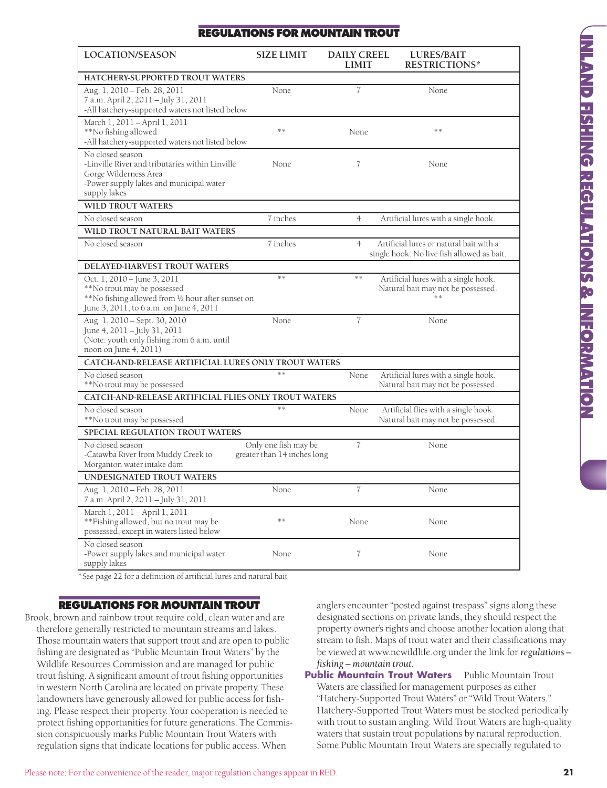# **REGULATIONS FOR MOUNTAIN TROUT**

| LOCATION/SEASON                                                                                                                                             | <b>SIZE LIMIT</b>                                   | <b>DAILY CREEL</b><br><b>LIMIT</b> | <b>LURES/BAIT</b><br><b>RESTRICTIONS*</b>                                             |  |
|-------------------------------------------------------------------------------------------------------------------------------------------------------------|-----------------------------------------------------|------------------------------------|---------------------------------------------------------------------------------------|--|
| HATCHERY-SUPPORTED TROUT WATERS                                                                                                                             |                                                     |                                    |                                                                                       |  |
| Aug. 1, 2010 - Feb. 28, 2011<br>7 a.m. April 2, 2011 - July 31, 2011<br>-All hatchery-supported waters not listed below                                     | None                                                | $\overline{7}$                     | None                                                                                  |  |
| March 1, 2011 - April 1, 2011<br>**No fishing allowed<br>-All hatchery-supported waters not listed below                                                    | **                                                  | None                               | **                                                                                    |  |
| No closed season<br>-Linville River and tributaries within Linville<br>Gorge Wilderness Area<br>-Power supply lakes and municipal water<br>supply lakes     | None                                                | 7                                  | None                                                                                  |  |
| <b>WILD TROUT WATERS</b>                                                                                                                                    |                                                     |                                    |                                                                                       |  |
| No closed season                                                                                                                                            | 7 inches                                            | $\overline{4}$                     | Artificial lures with a single hook.                                                  |  |
| WILD TROUT NATURAL BAIT WATERS                                                                                                                              |                                                     |                                    |                                                                                       |  |
| No closed season                                                                                                                                            | 7 inches                                            | $\overline{4}$                     | Artificial lures or natural bait with a<br>single hook. No live fish allowed as bait. |  |
| DELAYED-HARVEST TROUT WATERS                                                                                                                                |                                                     |                                    |                                                                                       |  |
| Oct. 1, 2010 – June 3, 2011<br>**No trout may be possessed<br>**No fishing allowed from 1/2 hour after sunset on<br>June 3, 2011, to 6 a.m. on June 4, 2011 | **                                                  | **                                 | Artificial lures with a single hook.<br>Natural bait may not be possessed.            |  |
| Aug. 1, 2010 - Sept. 30, 2010<br>June 4, 2011 - July 31, 2011<br>(Note: youth only fishing from 6 a.m. until<br>noon on June 4, 2011)                       | None                                                | $\overline{7}$                     | None                                                                                  |  |
| CATCH-AND-RELEASE ARTIFICIAL LURES ONLY TROUT WATERS                                                                                                        |                                                     |                                    |                                                                                       |  |
| No closed season<br>**No trout may be possessed                                                                                                             | **                                                  | None                               | Artificial lures with a single hook.<br>Natural bait may not be possessed.            |  |
| CATCH-AND-RELEASE ARTIFICIAL FLIES ONLY TROUT WATERS                                                                                                        |                                                     |                                    |                                                                                       |  |
| No closed season<br>**No trout may be possessed                                                                                                             | **                                                  | None                               | Artificial flies with a single hook.<br>Natural bait may not be possessed.            |  |
| SPECIAL REGULATION TROUT WATERS                                                                                                                             |                                                     |                                    |                                                                                       |  |
| No closed season<br>-Catawba River from Muddy Creek to<br>Morganton water intake dam                                                                        | Only one fish may be<br>greater than 14 inches long | $\overline{7}$                     | None                                                                                  |  |
| <b>UNDESIGNATED TROUT WATERS</b>                                                                                                                            |                                                     |                                    |                                                                                       |  |
| Aug. 1, 2010 - Feb. 28, 2011<br>7 a.m. April 2, 2011 - July 31, 2011                                                                                        | None                                                | $\overline{7}$                     | None                                                                                  |  |
| March 1, 2011 - April 1, 2011<br>**Fishing allowed, but no trout may be<br>possessed, except in waters listed below                                         | **                                                  | None                               | None                                                                                  |  |
| No closed season<br>-Power supply lakes and municipal water<br>supply lakes                                                                                 | None                                                | 7                                  | None                                                                                  |  |

\*See page 22 for a definition of artificial lures and natural bait

#### **REGULATIONS FOR MOUNTAIN TROUT**

Brook, brown and rainbow trout require cold, clean water and are therefore generally restricted to mountain streams and lakes. Those mountain waters that support trout and are open to public fishing are designated as "Public Mountain Trout Waters" by the Wildlife Resources Commission and are managed for public trout fishing. A significant amount of trout fishing opportunities in western North Carolina are located on private property. These landowners have generously allowed for public access for fishing. Please respect their property. Your cooperation is needed to protect fishing opportunities for future generations. The Commission conspicuously marks Public Mountain Trout Waters with regulation signs that indicate locations for public access. When

anglers encounter "posted against trespass" signs along these designated sections on private lands, they should respect the property owner's rights and choose another location along that stream to fish. Maps of trout water and their classifications may be viewed at www.ncwildlife.org under the link for *regulations – fishing – mountain trout.*

**Public Mountain Trout Waters** Public Mountain Trout Waters are classified for management purposes as either "Hatchery-Supported Trout Waters" or "Wild Trout Waters." Hatchery-Supported Trout Waters must be stocked periodically with trout to sustain angling. Wild Trout Waters are high-quality waters that sustain trout populations by natural reproduction. Some Public Mountain Trout Waters are specially regulated to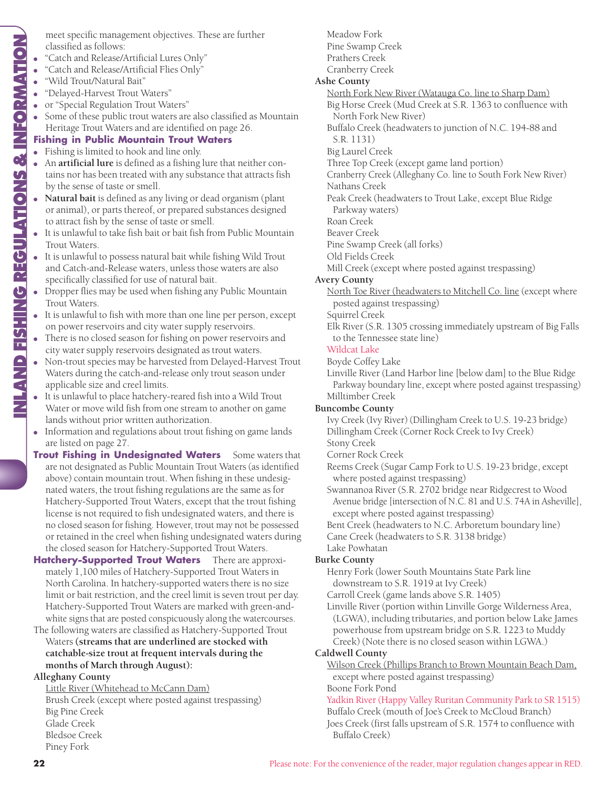NLAND FISHING REGULATIONS & INFORMATION **INLAND FISHING REGULATIONS & INFORMATION**

meet specific management objectives. These are further classified as follows:

- "Catch and Release/Artificial Lures Only"
- "Catch and Release/Artificial Flies Only"
- "Wild Trout/Natural Bait"
- "Delayed-Harvest Trout Waters"
- or "Special Regulation Trout Waters"
- Some of these public trout waters are also classified as Mountain Heritage Trout Waters and are identified on page 26.

# **Fishing in Public Mountain Trout Waters**

- Fishing is limited to hook and line only.
- An **artificial lure** is defined as a fishing lure that neither contains nor has been treated with any substance that attracts fish by the sense of taste or smell.
- **Natural bait** is defined as any living or dead organism (plant or animal), or parts thereof, or prepared substances designed to attract fish by the sense of taste or smell.
- It is unlawful to take fish bait or bait fish from Public Mountain Trout Waters.
- It is unlawful to possess natural bait while fishing Wild Trout and Catch-and-Release waters, unless those waters are also specifically classified for use of natural bait.
- Dropper flies may be used when fishing any Public Mountain Trout Waters.
- It is unlawful to fish with more than one line per person, except on power reservoirs and city water supply reservoirs.
- There is no closed season for fishing on power reservoirs and city water supply reservoirs designated as trout waters.
- Non-trout species may be harvested from Delayed-Harvest Trout Waters during the catch-and-release only trout season under applicable size and creel limits.
- It is unlawful to place hatchery-reared fish into a Wild Trout Water or move wild fish from one stream to another on game lands without prior written authorization.
- Information and regulations about trout fishing on game lands are listed on page 27.
- **Trout Fishing in Undesignated Waters** Some waters that are not designated as Public Mountain Trout Waters (as identified above) contain mountain trout. When fishing in these undesignated waters, the trout fishing regulations are the same as for Hatchery-Supported Trout Waters, except that the trout fishing license is not required to fish undesignated waters, and there is no closed season for fishing. However, trout may not be possessed or retained in the creel when fishing undesignated waters during the closed season for Hatchery-Supported Trout Waters.

**Hatchery-Supported Trout Waters** There are approximately 1,100 miles of Hatchery-Supported Trout Waters in North Carolina. In hatchery-supported waters there is no size limit or bait restriction, and the creel limit is seven trout per day. Hatchery-Supported Trout Waters are marked with green-andwhite signs that are posted conspicuously along the watercourses.

The following waters are classified as Hatchery-Supported Trout Waters **(streams that are underlined are stocked with** catchable-size trout at frequent intervals during the **months of March through August):**

#### **Alleghany County**

Little River (Whitehead to McCann Dam) Brush Creek (except where posted against trespassing) Big Pine Creek Glade Creek Bledsoe Creek Piney Fork

# Meadow Fork Pine Swamp Creek

- Prathers Creek
- Cranberry Creek

#### **Ashe County**

North Fork New River (Watauga Co. line to Sharp Dam)

Big Horse Creek (Mud Creek at S.R. 1363 to confluence with North Fork New River)

Buffalo Creek (headwaters to junction of N.C. 194-88 and S.R. 1131)

Big Laurel Creek

Three Top Creek (except game land portion)

Cranberry Creek (Alleghany Co. line to South Fork New River) Nathans Creek

Peak Creek (headwaters to Trout Lake, except Blue Ridge Parkway waters)

Roan Creek

Beaver Creek

Pine Swamp Creek (all forks)

Old Fields Creek

Mill Creek (except where posted against trespassing)

#### **Avery County**

North Toe River (headwaters to Mitchell Co. line (except where posted against trespassing)

Squirrel Creek

Elk River (S.R. 1305 crossing immediately upstream of Big Falls to the Tennessee state line)

# Wildcat Lake

Boyde Coffey Lake

Linville River (Land Harbor line [below dam] to the Blue Ridge Parkway boundary line, except where posted against trespassing) Milltimber Creek

#### **Buncombe County**

Ivy Creek (Ivy River) (Dillingham Creek to U.S. 19-23 bridge) Dillingham Creek (Corner Rock Creek to Ivy Creek)

Stony Creek Corner Rock Creek

Reems Creek (Sugar Camp Fork to U.S. 19-23 bridge, except where posted against trespassing)

Swannanoa River (S.R. 2702 bridge near Ridgecrest to Wood Avenue bridge [intersection of N.C. 81 and U.S. 74A in Asheville], except where posted against trespassing)

Bent Creek (headwaters to N.C. Arboretum boundary line)

Cane Creek (headwaters to S.R. 3138 bridge)

Lake Powhatan

# **Burke County**

Henry Fork (lower South Mountains State Park line downstream to S.R. 1919 at Ivy Creek)

Carroll Creek (game lands above S.R. 1405)

Linville River (portion within Linville Gorge Wilderness Area, (LGWA), including tributaries, and portion below Lake James powerhouse from upstream bridge on S.R. 1223 to Muddy Creek) (Note there is no closed season within LGWA.)

#### **Caldwell County**

Wilson Creek (Phillips Branch to Brown Mountain Beach Dam, except where posted against trespassing)

#### Boone Fork Pond

Yadkin River (Happy Valley Ruritan Community Park to SR 1515) Buffalo Creek (mouth of Joe's Creek to McCloud Branch)

Joes Creek (first falls upstream of S.R. 1574 to confluence with Buffalo Creek)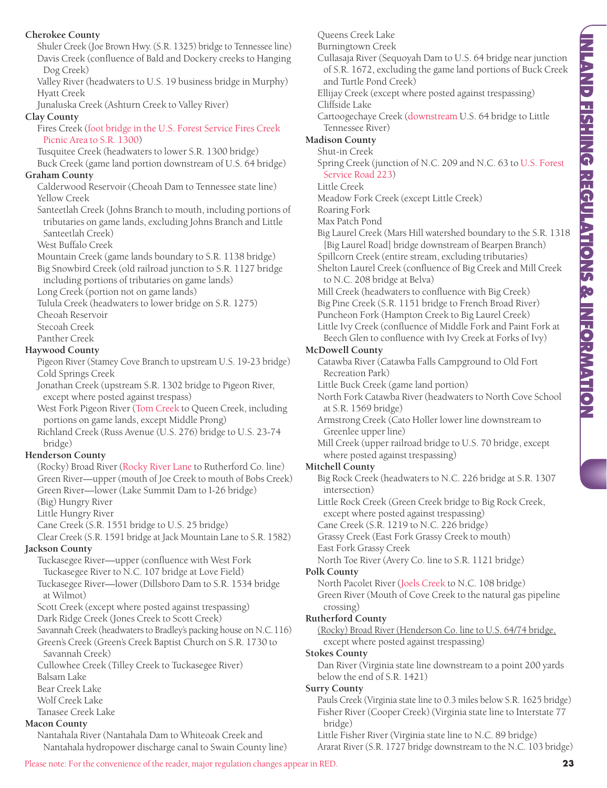#### **Cherokee County**

Shuler Creek (Joe Brown Hwy. (S.R. 1325) bridge to Tennessee line) Davis Creek (confluence of Bald and Dockery creeks to Hanging Dog Creek)

Valley River (headwaters to U.S. 19 business bridge in Murphy) Hyatt Creek

Junaluska Creek (Ashturn Creek to Valley River)

#### **Clay County**

Fires Creek (foot bridge in the U.S. Forest Service Fires Creek Picnic Area to S.R. 1300)

Tusquitee Creek (headwaters to lower S.R. 1300 bridge)

Buck Creek (game land portion downstream of U.S. 64 bridge) **Graham County**

Calderwood Reservoir (Cheoah Dam to Tennessee state line) Yellow Creek

Santeetlah Creek (Johns Branch to mouth, including portions of tributaries on game lands, excluding Johns Branch and Little Santeetlah Creek)

West Buffalo Creek

Mountain Creek (game lands boundary to S.R. 1138 bridge)

Big Snowbird Creek (old railroad junction to S.R. 1127 bridge including portions of tributaries on game lands)

Long Creek (portion not on game lands)

Tulula Creek (headwaters to lower bridge on S.R. 1275)

Cheoah Reservoir

Stecoah Creek

Panther Creek

#### **Haywood County**

Pigeon River (Stamey Cove Branch to upstream U.S. 19-23 bridge) Cold Springs Creek

Jonathan Creek (upstream S.R. 1302 bridge to Pigeon River, except where posted against trespass)

West Fork Pigeon River (Tom Creek to Queen Creek, including portions on game lands, except Middle Prong)

Richland Creek (Russ Avenue (U.S. 276) bridge to U.S. 23-74 bridge)

#### **Henderson County**

(Rocky) Broad River (Rocky River Lane to Rutherford Co. line) Green River—upper (mouth of Joe Creek to mouth of Bobs Creek) Green River—lower (Lake Summit Dam to I-26 bridge)

(Big) Hungry River

Little Hungry River

Cane Creek (S.R. 1551 bridge to U.S. 25 bridge)

Clear Creek (S.R. 1591 bridge at Jack Mountain Lane to S.R. 1582) **Jackson County**

Tuckasegee River—upper (confluence with West Fork Tuckasegee River to N.C. 107 bridge at Love Field) Tuckasegee River—lower (Dillsboro Dam to S.R. 1534 bridge

at Wilmot)

Scott Creek (except where posted against trespassing)

Dark Ridge Creek (Jones Creek to Scott Creek)

Savannah Creek (headwaters to Bradley's packing house on N.C.116)

Green's Creek (Green's Creek Baptist Church on S.R. 1730 to Savannah Creek)

Cullowhee Creek (Tilley Creek to Tuckasegee River)

Balsam Lake

Bear Creek Lake

Wolf Creek Lake

Tanasee Creek Lake

# **Macon County**

Nantahala River (Nantahala Dam to Whiteoak Creek and Nantahala hydropower discharge canal to Swain County line) Queens Creek Lake

Burningtown Creek

Cullasaja River (Sequoyah Dam to U.S. 64 bridge near junction of S.R. 1672, excluding the game land portions of Buck Creek and Turtle Pond Creek)

Ellijay Creek (except where posted against trespassing) Cliffside Lake

Cartoogechaye Creek (downstream U.S. 64 bridge to Little Tennessee River)

**Madison County**

Shut-in Creek

Spring Creek (junction of N.C. 209 and N.C. 63 to U.S. Forest Service Road 223)

Little Creek

Meadow Fork Creek (except Little Creek)

Roaring Fork

Max Patch Pond

Big Laurel Creek (Mars Hill watershed boundary to the S.R. 1318 [Big Laurel Road] bridge downstream of Bearpen Branch)

Spillcorn Creek (entire stream, excluding tributaries) Shelton Laurel Creek (confluence of Big Creek and Mill Creek to N.C. 208 bridge at Belva)

Mill Creek (headwaters to confluence with Big Creek) Big Pine Creek (S.R. 1151 bridge to French Broad River) Puncheon Fork (Hampton Creek to Big Laurel Creek) Little Ivy Creek (confluence of Middle Fork and Paint Fork at Beech Glen to confluence with Ivy Creek at Forks of Ivy)

# **McDowell County**

- Catawba River (Catawba Falls Campground to Old Fort Recreation Park)
- Little Buck Creek (game land portion)
- North Fork Catawba River (headwaters to North Cove School at S.R. 1569 bridge)
- Armstrong Creek (Cato Holler lower line downstream to Greenlee upper line)
- Mill Creek (upper railroad bridge to U.S. 70 bridge, except where posted against trespassing)

#### **Mitchell County**

- Big Rock Creek (headwaters to N.C. 226 bridge at S.R. 1307 intersection)
- Little Rock Creek (Green Creek bridge to Big Rock Creek, except where posted against trespassing)

Cane Creek (S.R. 1219 to N.C. 226 bridge)

Grassy Creek (East Fork Grassy Creek to mouth)

East Fork Grassy Creek

North Toe River (Avery Co. line to S.R. 1121 bridge)

#### **Polk County**

North Pacolet River (Joels Creek to N.C. 108 bridge) Green River (Mouth of Cove Creek to the natural gas pipeline crossing)

#### **Rutherford County**

(Rocky) Broad River (Henderson Co. line to U.S. 64/74 bridge, except where posted against trespassing)

**Stokes County**

Dan River (Virginia state line downstream to a point 200 yards below the end of S.R. 1421)

#### **Surry County**

Pauls Creek (Virginia state line to 0.3 miles below S.R. 1625 bridge) Fisher River (Cooper Creek) (Virginia state line to Interstate 77 bridge)

Little Fisher River (Virginia state line to N.C. 89 bridge) Ararat River (S.R. 1727 bridge downstream to the N.C. 103 bridge)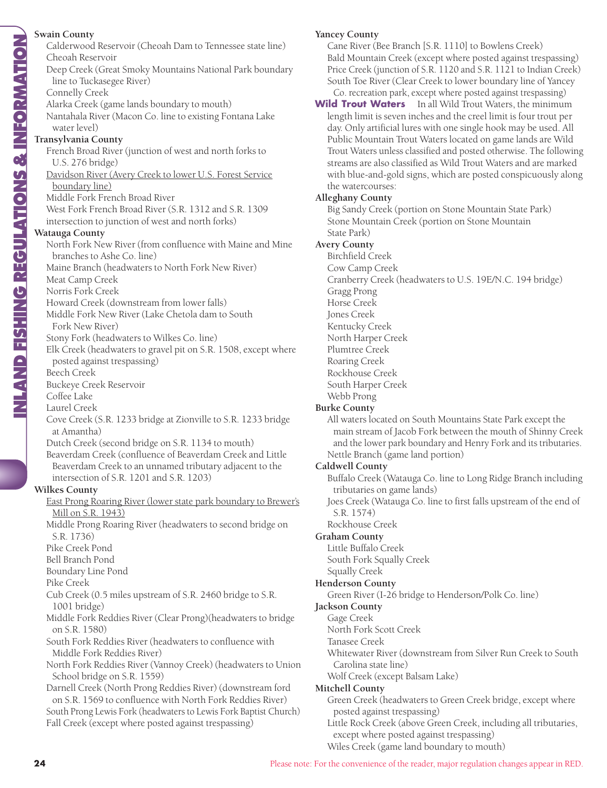# **Swain County**

NLAND FISHING REGULATIONS & INFORMATION **INLAND FISHING REGULATIONS & INFORMATION**

Calderwood Reservoir (Cheoah Dam to Tennessee state line) Cheoah Reservoir Deep Creek (Great Smoky Mountains National Park boundary line to Tuckasegee River) Connelly Creek Alarka Creek (game lands boundary to mouth) Nantahala River (Macon Co. line to existing Fontana Lake water level) **Transylvania County** French Broad River (junction of west and north forks to U.S. 276 bridge) Davidson River (Avery Creek to lower U.S. Forest Service boundary line) Middle Fork French Broad River West Fork French Broad River (S.R. 1312 and S.R. 1309 intersection to junction of west and north forks) **Watauga County** North Fork New River (from confluence with Maine and Mine branches to Ashe Co. line) Maine Branch (headwaters to North Fork New River) Meat Camp Creek Norris Fork Creek Howard Creek (downstream from lower falls) Middle Fork New River (Lake Chetola dam to South Fork New River) Stony Fork (headwaters to Wilkes Co. line) Elk Creek (headwaters to gravel pit on S.R. 1508, except where posted against trespassing) Beech Creek Buckeye Creek Reservoir Coffee Lake Laurel Creek Cove Creek (S.R. 1233 bridge at Zionville to S.R. 1233 bridge at Amantha) Dutch Creek (second bridge on S.R. 1134 to mouth) Beaverdam Creek (confluence of Beaverdam Creek and Little Beaverdam Creek to an unnamed tributary adjacent to the intersection of S.R. 1201 and S.R. 1203) **Wilkes County** East Prong Roaring River (lower state park boundary to Brewer's Mill on S.R. 1943) Middle Prong Roaring River (headwaters to second bridge on S.R. 1736) Pike Creek Pond Bell Branch Pond Boundary Line Pond Pike Creek Cub Creek (0.5 miles upstream of S.R. 2460 bridge to S.R. 1001 bridge) Middle Fork Reddies River (Clear Prong)(headwaters to bridge on S.R. 1580) South Fork Reddies River (headwaters to confluence with Middle Fork Reddies River) North Fork Reddies River (Vannoy Creek) (headwaters to Union School bridge on S.R. 1559) Darnell Creek (North Prong Reddies River) (downstream ford on S.R. 1569 to confluence with North Fork Reddies River) South Prong Lewis Fork (headwaters to Lewis Fork Baptist Church) Fall Creek (except where posted against trespassing)

#### **Yancey County**

Cane River (Bee Branch [S.R. 1110] to Bowlens Creek) Bald Mountain Creek (except where posted against trespassing) Price Creek (junction of S.R. 1120 and S.R. 1121 to Indian Creek) South Toe River (Clear Creek to lower boundary line of Yancey Co. recreation park, except where posted against trespassing)

**Wild Trout Waters** In all Wild Trout Waters, the minimum length limit is seven inches and the creel limit is four trout per day. Only artificial lures with one single hook may be used. All Public Mountain Trout Waters located on game lands are Wild Trout Waters unless classified and posted otherwise. The following streams are also classified as Wild Trout Waters and are marked with blue-and-gold signs, which are posted conspicuously along the watercourses:

#### **Alleghany County**

Big Sandy Creek (portion on Stone Mountain State Park) Stone Mountain Creek (portion on Stone Mountain State Park)

# **Avery County**

Birchfield Creek

- Cow Camp Creek
- Cranberry Creek (headwaters to U.S. 19E/N.C. 194 bridge)
- Gragg Prong
- Horse Creek
- Jones Creek
- Kentucky Creek
- North Harper Creek
- Plumtree Creek Roaring Creek
- Rockhouse Creek
- South Harper Creek
- Webb Prong

# **Burke County**

All waters located on South Mountains State Park except the main stream of Jacob Fork between the mouth of Shinny Creek and the lower park boundary and Henry Fork and its tributaries. Nettle Branch (game land portion)

# **Caldwell County**

- Buffalo Creek (Watauga Co. line to Long Ridge Branch including tributaries on game lands)
- Joes Creek (Watauga Co. line to first falls upstream of the end of S.R. 1574)
- Rockhouse Creek

# **Graham County**

Little Buffalo Creek South Fork Squally Creek Squally Creek

# **Henderson County**

Green River (I-26 bridge to Henderson/Polk Co. line)

#### **Jackson County**

- Gage Creek
- North Fork Scott Creek
- Tanasee Creek
- Whitewater River (downstream from Silver Run Creek to South Carolina state line)
- Wolf Creek (except Balsam Lake)

# **Mitchell County**

Green Creek (headwaters to Green Creek bridge, except where posted against trespassing)

Little Rock Creek (above Green Creek, including all tributaries, except where posted against trespassing)

Wiles Creek (game land boundary to mouth)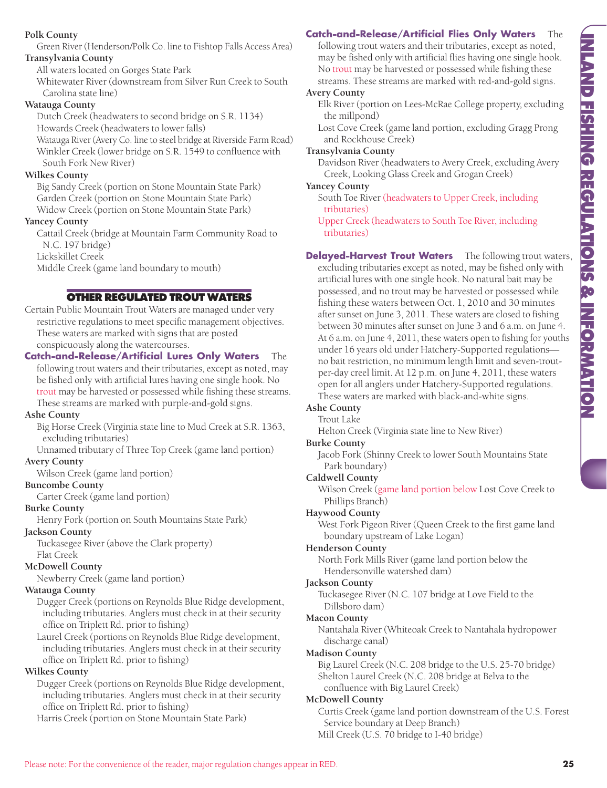# **Polk County**

Green River (Henderson/Polk Co. line to Fishtop Falls Access Area) **Transylvania County**

All waters located on Gorges State Park

Whitewater River (downstream from Silver Run Creek to South Carolina state line)

# **Watauga County**

Dutch Creek (headwaters to second bridge on S.R. 1134) Howards Creek (headwaters to lower falls)

Watauga River (Avery Co. line to steel bridge at Riverside Farm Road) Winkler Creek (lower bridge on S.R. 1549 to confluence with South Fork New River)

# **Wilkes County**

Big Sandy Creek (portion on Stone Mountain State Park) Garden Creek (portion on Stone Mountain State Park) Widow Creek (portion on Stone Mountain State Park)

# **Yancey County**

Cattail Creek (bridge at Mountain Farm Community Road to N.C. 197 bridge)

Lickskillet Creek

Middle Creek (game land boundary to mouth)

# **OTHER REGULATED TROUT WATERS**

Certain Public Mountain Trout Waters are managed under very restrictive regulations to meet specific management objectives. These waters are marked with signs that are posted conspicuously along the watercourses.

**Catch-and-Release/Artificial Lures Only Waters** The following trout waters and their tributaries, except as noted, may be fished only with artificial lures having one single hook. No trout may be harvested or possessed while fishing these streams.

These streams are marked with purple-and-gold signs.

# **Ashe County**

Big Horse Creek (Virginia state line to Mud Creek at S.R. 1363, excluding tributaries)

Unnamed tributary of Three Top Creek (game land portion) **Avery County**

Wilson Creek (game land portion)

# **Buncombe County**

Carter Creek (game land portion)

# **Burke County**

Henry Fork (portion on South Mountains State Park)

# **Jackson County**

Tuckasegee River (above the Clark property) Flat Creek

# **McDowell County**

Newberry Creek (game land portion)

# **Watauga County**

Dugger Creek (portions on Reynolds Blue Ridge development, including tributaries. Anglers must check in at their security office on Triplett Rd. prior to fishing)

Laurel Creek (portions on Reynolds Blue Ridge development, including tributaries. Anglers must check in at their security office on Triplett Rd. prior to fishing)

# **Wilkes County**

Dugger Creek (portions on Reynolds Blue Ridge development, including tributaries. Anglers must check in at their security office on Triplett Rd. prior to fishing)

Harris Creek (portion on Stone Mountain State Park)

# **Catch-and-Release/Artificial Flies Only Waters** The

following trout waters and their tributaries, except as noted, may be fished only with artificial flies having one single hook. No trout may be harvested or possessed while fishing these streams. These streams are marked with red-and-gold signs.

#### **Avery County**

Elk River (portion on Lees-McRae College property, excluding the millpond)

Lost Cove Creek (game land portion, excluding Gragg Prong and Rockhouse Creek)

# **Transylvania County**

Davidson River (headwaters to Avery Creek, excluding Avery Creek, Looking Glass Creek and Grogan Creek)

# **Yancey County**

South Toe River (headwaters to Upper Creek, including tributaries)

Upper Creek (headwaters to South Toe River, including tributaries)

**Delayed-Harvest Trout Waters** The following trout waters,

excluding tributaries except as noted, may be fished only with artificial lures with one single hook. No natural bait may be possessed, and no trout may be harvested or possessed while fishing these waters between Oct. 1, 2010 and 30 minutes after sunset on June 3, 2011. These waters are closed to fishing between 30 minutes after sunset on June 3 and 6 a.m. on June 4. At 6 a.m. on June 4, 2011, these waters open to fishing for youths under 16 years old under Hatchery-Supported regulations no bait restriction, no minimum length limit and seven-troutper-day creel limit. At 12 p.m. on June 4, 2011, these waters open for all anglers under Hatchery-Supported regulations. These waters are marked with black-and-white signs.

# **Ashe County**

Trout Lake

Helton Creek (Virginia state line to New River)

**Burke County**

Jacob Fork (Shinny Creek to lower South Mountains State Park boundary)

# **Caldwell County**

Wilson Creek (game land portion below Lost Cove Creek to Phillips Branch)

# **Haywood County**

West Fork Pigeon River (Queen Creek to the first game land boundary upstream of Lake Logan)

# **Henderson County**

North Fork Mills River (game land portion below the Hendersonville watershed dam)

# **Jackson County**

Tuckasegee River (N.C. 107 bridge at Love Field to the Dillsboro dam)

# **Macon County**

Nantahala River (Whiteoak Creek to Nantahala hydropower discharge canal)

# **Madison County**

Big Laurel Creek (N.C. 208 bridge to the U.S. 25-70 bridge) Shelton Laurel Creek (N.C. 208 bridge at Belva to the confluence with Big Laurel Creek)

# **McDowell County**

Curtis Creek (game land portion downstream of the U.S. Forest Service boundary at Deep Branch) Mill Creek (U.S. 70 bridge to I-40 bridge)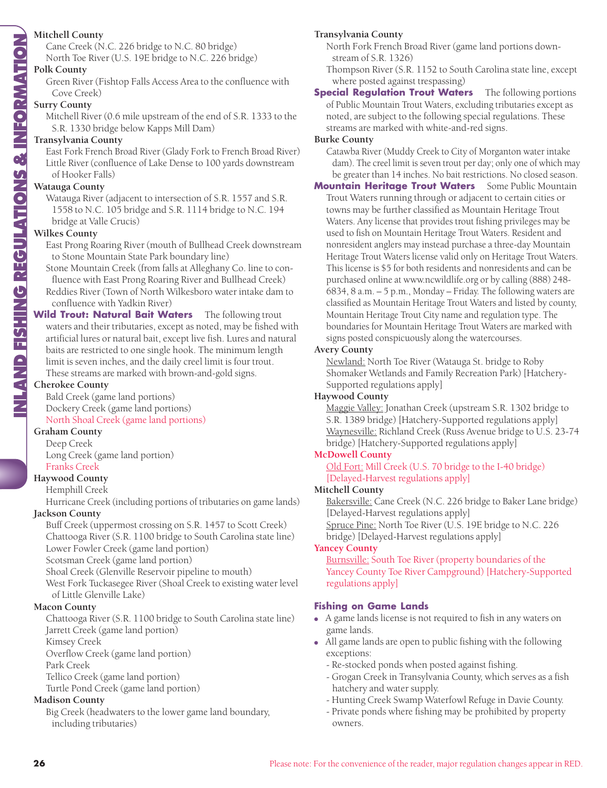# **Mitchell County**

Cane Creek (N.C. 226 bridge to N.C. 80 bridge) North Toe River (U.S. 19E bridge to N.C. 226 bridge)

#### **Polk County**

Green River (Fishtop Falls Access Area to the confluence with Cove Creek)

#### **Surry County**

Mitchell River (0.6 mile upstream of the end of S.R. 1333 to the S.R. 1330 bridge below Kapps Mill Dam)

#### **Transylvania County**

East Fork French Broad River (Glady Fork to French Broad River) Little River (confluence of Lake Dense to 100 yards downstream of Hooker Falls)

#### **Watauga County**

Watauga River (adjacent to intersection of S.R. 1557 and S.R. 1558 to N.C. 105 bridge and S.R. 1114 bridge to N.C. 194 bridge at Valle Crucis)

#### **Wilkes County**

AND FISHING REGULATIONS & INFORMATION **INLAND FISHING REGULATIONS & INFORMATION**

East Prong Roaring River (mouth of Bullhead Creek downstream to Stone Mountain State Park boundary line)

Stone Mountain Creek (from falls at Alleghany Co. line to confluence with East Prong Roaring River and Bullhead Creek) Reddies River (Town of North Wilkesboro water intake dam to confluence with Yadkin River)

#### **Wild Trout: Natural Bait Waters** The following trout waters and their tributaries, except as noted, may be fished with artificial lures or natural bait, except live fish. Lures and natural baits are restricted to one single hook. The minimum length

limit is seven inches, and the daily creel limit is four trout. These streams are marked with brown-and-gold signs.

#### **Cherokee County**

Bald Creek (game land portions) Dockery Creek (game land portions) North Shoal Creek (game land portions)

#### **Graham County**

Deep Creek Long Creek (game land portion) Franks Creek

#### **Haywood County**

Hemphill Creek

Hurricane Creek (including portions of tributaries on game lands)

# **Jackson County**

Buff Creek (uppermost crossing on S.R. 1457 to Scott Creek) Chattooga River (S.R. 1100 bridge to South Carolina state line) Lower Fowler Creek (game land portion)

Scotsman Creek (game land portion)

Shoal Creek (Glenville Reservoir pipeline to mouth)

West Fork Tuckasegee River (Shoal Creek to existing water level of Little Glenville Lake)

#### **Macon County**

Chattooga River (S.R. 1100 bridge to South Carolina state line) Jarrett Creek (game land portion)

Kimsey Creek

Overflow Creek (game land portion)

Park Creek

Tellico Creek (game land portion)

Turtle Pond Creek (game land portion)

#### **Madison County**

Big Creek (headwaters to the lower game land boundary, including tributaries)

# **Transylvania County**

North Fork French Broad River (game land portions down stream of S.R. 1326)

Thompson River (S.R. 1152 to South Carolina state line, except where posted against trespassing)

#### **Special Regulation Trout Waters** The following portions of Public Mountain Trout Waters, excluding tributaries except as noted, are subject to the following special regulations. These streams are marked with white-and-red signs.

#### **Burke County**

Catawba River (Muddy Creek to City of Morganton water intake dam). The creel limit is seven trout per day; only one of which may be greater than 14 inches. No bait restrictions. No closed season.

**Mountain Heritage Trout Waters** Some Public Mountain Trout Waters running through or adjacent to certain cities or towns may be further classified as Mountain Heritage Trout Waters. Any license that provides trout fishing privileges may be used to fish on Mountain Heritage Trout Waters. Resident and nonresident anglers may instead purchase a three-day Mountain Heritage Trout Waters license valid only on Heritage Trout Waters. This license is \$5 for both residents and nonresidents and can be purchased online at www.ncwildlife.org or by calling (888) 248- 6834, 8 a.m. – 5 p.m., Monday – Friday. The following waters are classified as Mountain Heritage Trout Waters and listed by county, Mountain Heritage Trout City name and regulation type. The boundaries for Mountain Heritage Trout Waters are marked with signs posted conspicuously along the watercourses.

#### **Avery County**

Newland: North Toe River (Watauga St. bridge to Roby Shomaker Wetlands and Family Recreation Park) [Hatchery-Supported regulations apply]

#### **Haywood County**

Maggie Valley: Jonathan Creek (upstream S.R. 1302 bridge to S.R. 1389 bridge) [Hatchery-Supported regulations apply] Waynesville: Richland Creek (Russ Avenue bridge to U.S. 23-74 bridge) [Hatchery-Supported regulations apply]

# **McDowell County**

Old Fort: Mill Creek (U.S. 70 bridge to the I-40 bridge) [Delayed-Harvest regulations apply]

#### **Mitchell County**

Bakersville: Cane Creek (N.C. 226 bridge to Baker Lane bridge) [Delayed-Harvest regulations apply] Spruce Pine: North Toe River (U.S. 19E bridge to N.C. 226

bridge) [Delayed-Harvest regulations apply]

#### **Yancey County**

Burnsville: South Toe River (property boundaries of the Yancey County Toe River Campground) [Hatchery-Supported regulations apply]

# **Fishing on Game Lands**

- A game lands license is not required to fish in any waters on game lands.
- All game lands are open to public fishing with the following exceptions:
	- Re-stocked ponds when posted against fishing.
	- Grogan Creek in Transylvania County, which serves as a fish hatchery and water supply.
	- Hunting Creek Swamp Waterfowl Refuge in Davie County.
	- Private ponds where fishing may be prohibited by property owners.